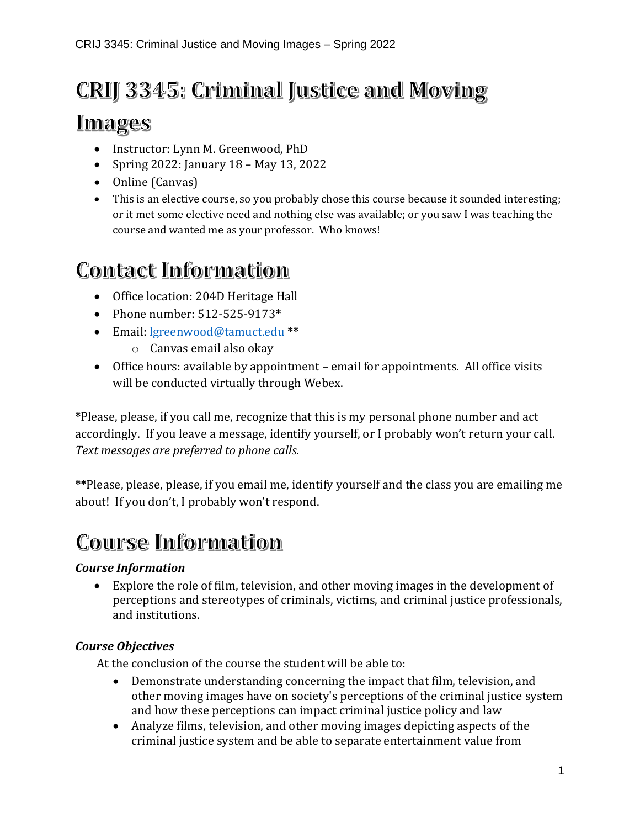## **CRIJ 3345: Criminal Justice and Moving**

### **Images**

- Instructor: Lynn M. Greenwood, PhD
- Spring 2022: January 18 May 13, 2022
- Online (Canvas)
- This is an elective course, so you probably chose this course because it sounded interesting; or it met some elective need and nothing else was available; or you saw I was teaching the course and wanted me as your professor. Who knows!

### **Contact Information**

- Office location: 204D Heritage Hall
- Phone number: 512-525-9173**\***
- Email: [lgreenwood@tamuct.edu](mailto:lgreenwood@tamuct.edu) **\*\***
	- o Canvas email also okay
- Office hours: available by appointment email for appointments. All office visits will be conducted virtually through Webex.

**\***Please, please, if you call me, recognize that this is my personal phone number and act accordingly. If you leave a message, identify yourself, or I probably won't return your call. *Text messages are preferred to phone calls.*

**\*\***Please, please, please, if you email me, identify yourself and the class you are emailing me about! If you don't, I probably won't respond.

### **Course Information**

#### *Course Information*

• Explore the role of film, television, and other moving images in the development of perceptions and stereotypes of criminals, victims, and criminal justice professionals, and institutions.

#### *Course Objectives*

At the conclusion of the course the student will be able to:

- Demonstrate understanding concerning the impact that film, television, and other moving images have on society's perceptions of the criminal justice system and how these perceptions can impact criminal justice policy and law
- Analyze films, television, and other moving images depicting aspects of the criminal justice system and be able to separate entertainment value from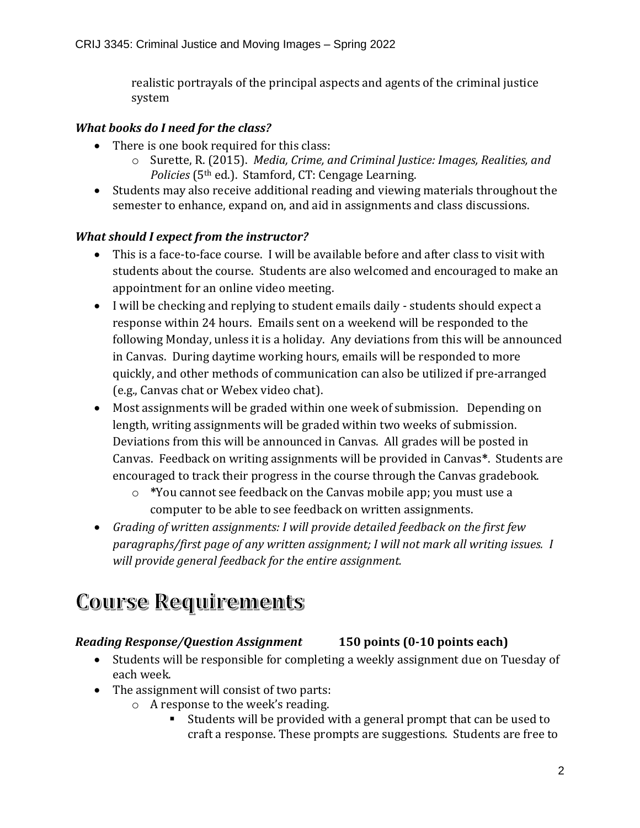realistic portrayals of the principal aspects and agents of the criminal justice system

#### *What books do I need for the class?*

- There is one book required for this class:
	- o Surette, R. (2015). *Media, Crime, and Criminal Justice: Images, Realities, and Policies* (5th ed.). Stamford, CT: Cengage Learning.
- Students may also receive additional reading and viewing materials throughout the semester to enhance, expand on, and aid in assignments and class discussions.

#### *What should I expect from the instructor?*

- This is a face-to-face course. I will be available before and after class to visit with students about the course. Students are also welcomed and encouraged to make an appointment for an online video meeting.
- I will be checking and replying to student emails daily students should expect a response within 24 hours. Emails sent on a weekend will be responded to the following Monday, unless it is a holiday. Any deviations from this will be announced in Canvas. During daytime working hours, emails will be responded to more quickly, and other methods of communication can also be utilized if pre-arranged (e.g., Canvas chat or Webex video chat).
- Most assignments will be graded within one week of submission. Depending on length, writing assignments will be graded within two weeks of submission. Deviations from this will be announced in Canvas. All grades will be posted in Canvas. Feedback on writing assignments will be provided in Canvas**\***. Students are encouraged to track their progress in the course through the Canvas gradebook.
	- o **\***You cannot see feedback on the Canvas mobile app; you must use a computer to be able to see feedback on written assignments.
- *Grading of written assignments: I will provide detailed feedback on the first few paragraphs/first page of any written assignment; I will not mark all writing issues. I will provide general feedback for the entire assignment.*

## **Course Requirements**

#### *Reading Response/Question Assignment* **150 points (0-10 points each)**

- Students will be responsible for completing a weekly assignment due on Tuesday of each week.
- The assignment will consist of two parts:
	- o A response to the week's reading.
		- Students will be provided with a general prompt that can be used to craft a response. These prompts are suggestions. Students are free to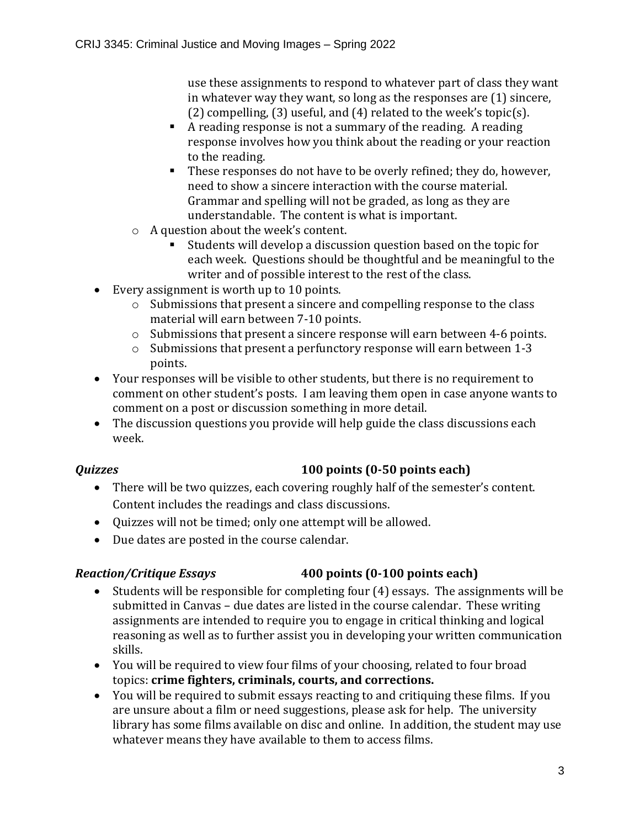use these assignments to respond to whatever part of class they want in whatever way they want, so long as the responses are (1) sincere, (2) compelling, (3) useful, and (4) related to the week's topic(s).

- A reading response is not a summary of the reading. A reading response involves how you think about the reading or your reaction to the reading.
- These responses do not have to be overly refined; they do, however, need to show a sincere interaction with the course material. Grammar and spelling will not be graded, as long as they are understandable. The content is what is important.
- o A question about the week's content.
	- Students will develop a discussion question based on the topic for each week. Questions should be thoughtful and be meaningful to the writer and of possible interest to the rest of the class.
- Every assignment is worth up to 10 points.
	- o Submissions that present a sincere and compelling response to the class material will earn between 7-10 points.
	- o Submissions that present a sincere response will earn between 4-6 points.
	- o Submissions that present a perfunctory response will earn between 1-3 points.
- Your responses will be visible to other students, but there is no requirement to comment on other student's posts. I am leaving them open in case anyone wants to comment on a post or discussion something in more detail.
- The discussion questions you provide will help guide the class discussions each week.

#### *Quizzes* **100 points (0-50 points each)**

- There will be two quizzes, each covering roughly half of the semester's content. Content includes the readings and class discussions.
- Quizzes will not be timed; only one attempt will be allowed.
- Due dates are posted in the course calendar.

#### *Reaction/Critique Essays* **400 points (0-100 points each)**

- Students will be responsible for completing four (4) essays. The assignments will be submitted in Canvas – due dates are listed in the course calendar. These writing assignments are intended to require you to engage in critical thinking and logical reasoning as well as to further assist you in developing your written communication skills.
- You will be required to view four films of your choosing, related to four broad topics: **crime fighters, criminals, courts, and corrections.**
- You will be required to submit essays reacting to and critiquing these films. If you are unsure about a film or need suggestions, please ask for help. The university library has some films available on disc and online. In addition, the student may use whatever means they have available to them to access films.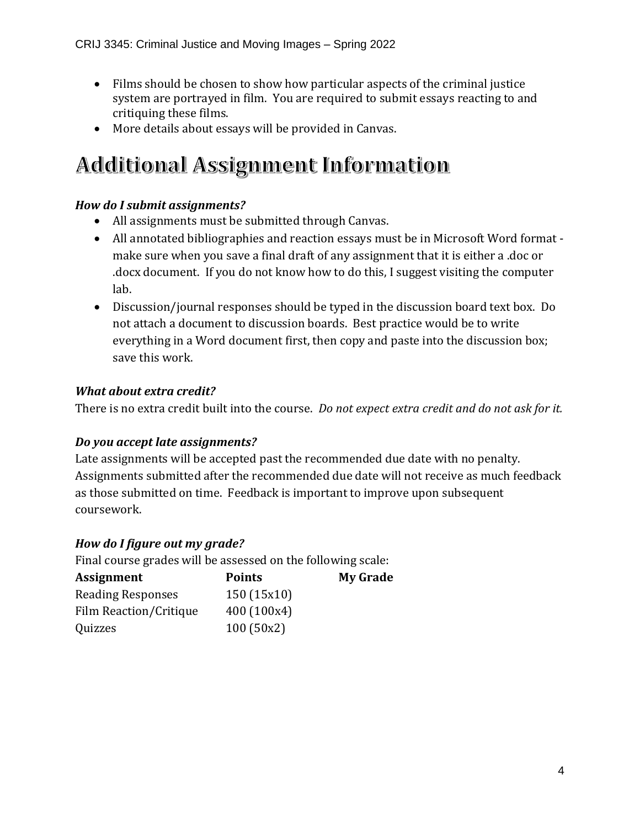- Films should be chosen to show how particular aspects of the criminal justice system are portrayed in film. You are required to submit essays reacting to and critiquing these films.
- More details about essays will be provided in Canvas.

## **Additional Assignment Information**

### *How do I submit assignments?*

- All assignments must be submitted through Canvas.
- All annotated bibliographies and reaction essays must be in Microsoft Word format make sure when you save a final draft of any assignment that it is either a .doc or .docx document. If you do not know how to do this, I suggest visiting the computer lab.
- Discussion/journal responses should be typed in the discussion board text box. Do not attach a document to discussion boards. Best practice would be to write everything in a Word document first, then copy and paste into the discussion box; save this work.

### *What about extra credit?*

There is no extra credit built into the course. *Do not expect extra credit and do not ask for it.* 

#### *Do you accept late assignments?*

Late assignments will be accepted past the recommended due date with no penalty. Assignments submitted after the recommended due date will not receive as much feedback as those submitted on time. Feedback is important to improve upon subsequent coursework.

#### *How do I figure out my grade?*

Final course grades will be assessed on the following scale:

| Assignment                    | <b>Points</b> | <b>My Grade</b> |
|-------------------------------|---------------|-----------------|
| <b>Reading Responses</b>      | 150(15x10)    |                 |
| <b>Film Reaction/Critique</b> | 400 (100x4)   |                 |
| Quizzes                       | 100(50x2)     |                 |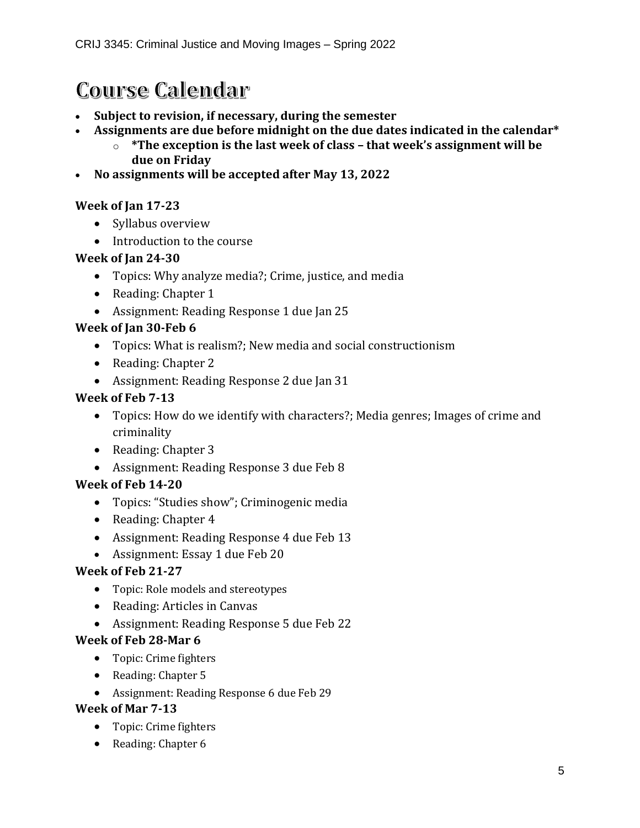### **Course Calendar**

- **Subject to revision, if necessary, during the semester**
- **Assignments are due before midnight on the due dates indicated in the calendar\***
	- o **\*The exception is the last week of class – that week's assignment will be due on Friday**
- **No assignments will be accepted after May 13, 2022**

#### **Week of Jan 17-23**

- Syllabus overview
- Introduction to the course

#### **Week of Jan 24-30**

- Topics: Why analyze media?; Crime, justice, and media
- Reading: Chapter 1
- Assignment: Reading Response 1 due Jan 25

#### **Week of Jan 30-Feb 6**

- Topics: What is realism?; New media and social constructionism
- Reading: Chapter 2
- Assignment: Reading Response 2 due Jan 31

#### **Week of Feb 7-13**

- Topics: How do we identify with characters?; Media genres; Images of crime and criminality
- Reading: Chapter 3
- Assignment: Reading Response 3 due Feb 8

#### **Week of Feb 14-20**

- Topics: "Studies show"; Criminogenic media
- Reading: Chapter 4
- Assignment: Reading Response 4 due Feb 13
- Assignment: Essay 1 due Feb 20

#### **Week of Feb 21-27**

- Topic: Role models and stereotypes
- Reading: Articles in Canvas
- Assignment: Reading Response 5 due Feb 22

#### **Week of Feb 28-Mar 6**

- Topic: Crime fighters
- Reading: Chapter 5
- Assignment: Reading Response 6 due Feb 29

#### **Week of Mar 7-13**

- Topic: Crime fighters
- Reading: Chapter 6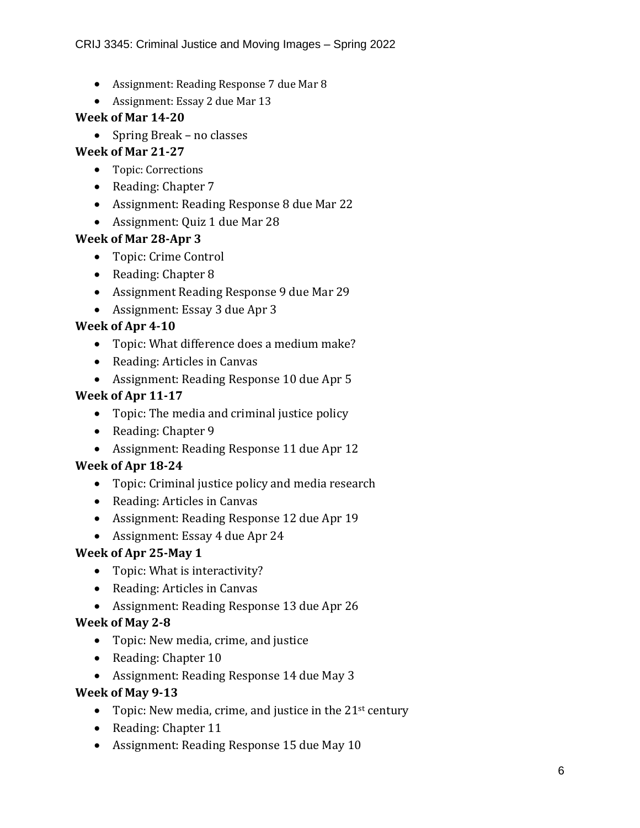- Assignment: Reading Response 7 due Mar 8
- Assignment: Essay 2 due Mar 13

#### **Week of Mar 14-20**

• Spring Break – no classes

#### **Week of Mar 21-27**

- Topic: Corrections
- Reading: Chapter 7
- Assignment: Reading Response 8 due Mar 22
- Assignment: Quiz 1 due Mar 28

#### **Week of Mar 28-Apr 3**

- Topic: Crime Control
- Reading: Chapter 8
- Assignment Reading Response 9 due Mar 29
- Assignment: Essay 3 due Apr 3

#### **Week of Apr 4-10**

- Topic: What difference does a medium make?
- Reading: Articles in Canvas
- Assignment: Reading Response 10 due Apr 5

#### **Week of Apr 11-17**

- Topic: The media and criminal justice policy
- Reading: Chapter 9
- Assignment: Reading Response 11 due Apr 12

#### **Week of Apr 18-24**

- Topic: Criminal justice policy and media research
- Reading: Articles in Canvas
- Assignment: Reading Response 12 due Apr 19
- Assignment: Essay 4 due Apr 24

#### **Week of Apr 25-May 1**

- Topic: What is interactivity?
- Reading: Articles in Canvas
- Assignment: Reading Response 13 due Apr 26

#### **Week of May 2-8**

- Topic: New media, crime, and justice
- Reading: Chapter 10
- Assignment: Reading Response 14 due May 3

#### **Week of May 9-13**

- Topic: New media, crime, and justice in the  $21<sup>st</sup>$  century
- Reading: Chapter 11
- Assignment: Reading Response 15 due May 10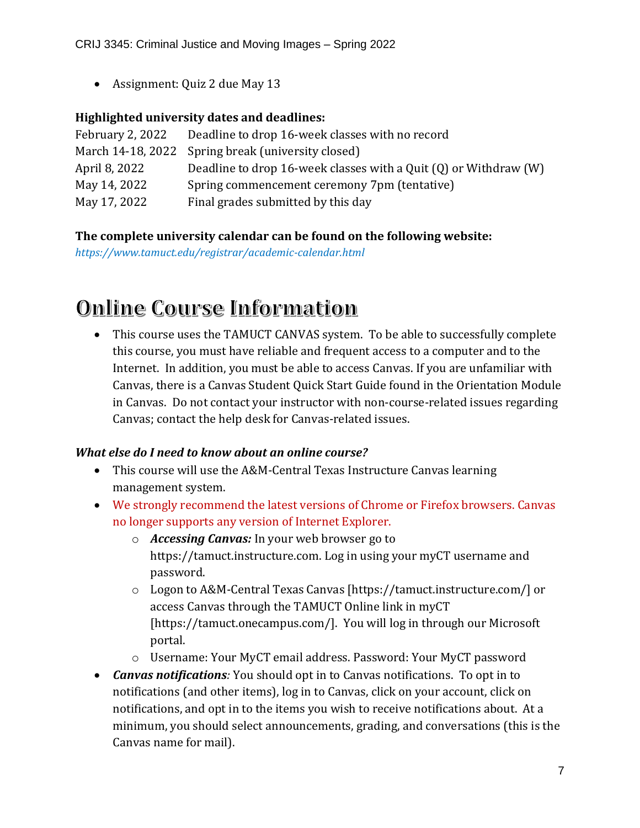• Assignment: Quiz 2 due May 13

#### **Highlighted university dates and deadlines:**

| February 2, 2022 | Deadline to drop 16-week classes with no record                      |
|------------------|----------------------------------------------------------------------|
|                  | March 14-18, 2022 Spring break (university closed)                   |
| April 8, 2022    | Deadline to drop 16-week classes with a Quit $(Q)$ or Withdraw $(W)$ |
| May 14, 2022     | Spring commencement ceremony 7pm (tentative)                         |
| May 17, 2022     | Final grades submitted by this day                                   |

#### **The complete university calendar can be found on the following website:**

*https://www.tamuct.edu/registrar/academic-calendar.html*

### **Online Course Information**

• This course uses the TAMUCT CANVAS system. To be able to successfully complete this course, you must have reliable and frequent access to a computer and to the Internet. In addition, you must be able to access Canvas. If you are unfamiliar with Canvas, there is a Canvas Student Quick Start Guide found in the Orientation Module in Canvas. Do not contact your instructor with non-course-related issues regarding Canvas; contact the help desk for Canvas-related issues.

#### *What else do I need to know about an online course?*

- This course will use the A&M-Central Texas Instructure Canvas learning management system.
- We strongly recommend the latest versions of Chrome or Firefox browsers. Canvas no longer supports any version of Internet Explorer.
	- o *Accessing Canvas:* In your web browser go to https://tamuct.instructure.com. Log in using your myCT username and password.
	- o Logon to A&M-Central Texas Canvas [https://tamuct.instructure.com/] or access Canvas through the TAMUCT Online link in myCT [https://tamuct.onecampus.com/]. You will log in through our Microsoft portal.
	- o Username: Your MyCT email address. Password: Your MyCT password
- *Canvas notifications:* You should opt in to Canvas notifications. To opt in to notifications (and other items), log in to Canvas, click on your account, click on notifications, and opt in to the items you wish to receive notifications about. At a minimum, you should select announcements, grading, and conversations (this is the Canvas name for mail).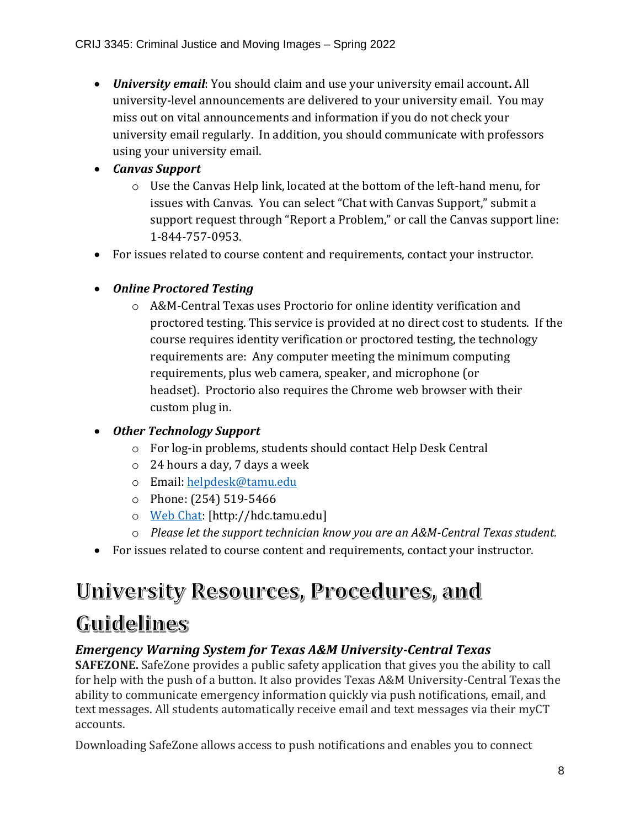• *University email*: You should claim and use your university email account**.** All university-level announcements are delivered to your university email. You may miss out on vital announcements and information if you do not check your university email regularly. In addition, you should communicate with professors using your university email.

#### • *Canvas Support*

- o Use the Canvas Help link, located at the bottom of the left-hand menu, for issues with Canvas. You can select "Chat with Canvas Support," submit a support request through "Report a Problem," or call the Canvas support line: 1-844-757-0953.
- For issues related to course content and requirements, contact your instructor.
- *Online Proctored Testing* 
	- o A&M-Central Texas uses Proctorio for online identity verification and proctored testing. This service is provided at no direct cost to students. If the course requires identity verification or proctored testing, the technology requirements are: Any computer meeting the minimum computing requirements, plus web camera, speaker, and microphone (or headset). Proctorio also requires the Chrome web browser with their custom plug in.

#### • *Other Technology Support*

- o For log-in problems, students should contact Help Desk Central
- o 24 hours a day, 7 days a week
- o Email: [helpdesk@tamu.edu](mailto:helpdesk@tamu.edu)
- o Phone: (254) 519-5466
- o [Web Chat:](http://hdc.tamu.edu/) [http://hdc.tamu.edu]
- o *Please let the support technician know you are an A&M-Central Texas student.*
- For issues related to course content and requirements, contact your instructor.

# University Resources, Procedures, and

### Guidelines

### *Emergency Warning System for Texas A&M University-Central Texas*

**SAFEZONE.** SafeZone provides a public safety application that gives you the ability to call for help with the push of a button. It also provides Texas A&M University-Central Texas the ability to communicate emergency information quickly via push notifications, email, and text messages. All students automatically receive email and text messages via their myCT accounts.

Downloading SafeZone allows access to push notifications and enables you to connect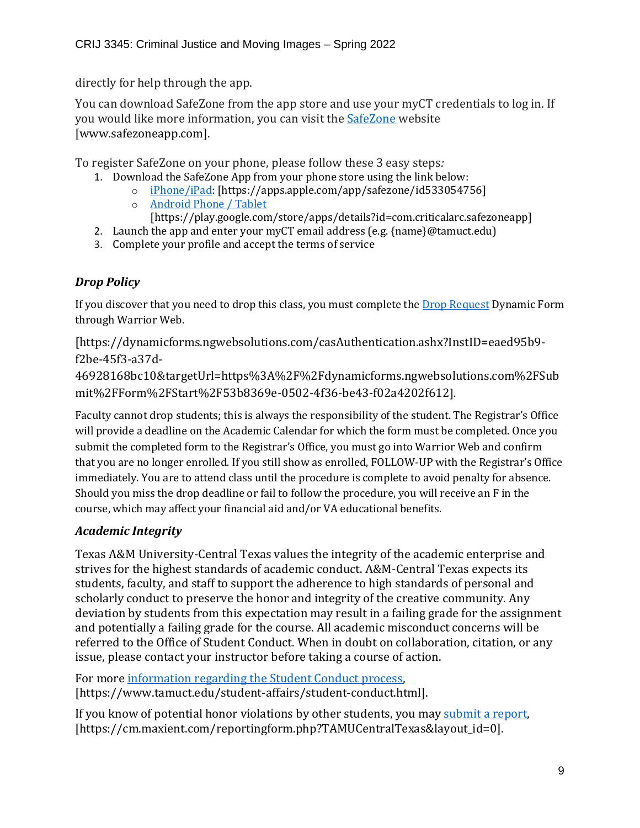directly for help through the app.

You can download SafeZone from the app store and use your myCT credentials to log in. If you would like more information, you can visit the **[SafeZone](http://www.safezoneapp.com/)** website [www.safezoneapp.com].

To register SafeZone on your phone, please follow these 3 easy steps*:*

- 1. Download the SafeZone App from your phone store using the link below:
	- o [iPhone/iPad:](https://apps.apple.com/app/safezone/id533054756) [https://apps.apple.com/app/safezone/id533054756]
	- o [Android Phone / Tablet](https://play.google.com/store/apps/details?id=com.criticalarc.safezoneapp) [https://play.google.com/store/apps/details?id=com.criticalarc.safezoneapp]
- 2. Launch the app and enter your myCT email address (e.g. {name}@tamuct.edu)
- 3. Complete your profile and accept the terms of service

### *Drop Policy*

If you discover that you need to drop this class, you must complete the [Drop Request](https://dynamicforms.ngwebsolutions.com/casAuthentication.ashx?InstID=eaed95b9-f2be-45f3-a37d-46928168bc10&targetUrl=https%3A%2F%2Fdynamicforms.ngwebsolutions.com%2FSubmit%2FForm%2FStart%2F53b8369e-0502-4f36-be43-f02a4202f612) Dynamic Form through Warrior Web.

[https://dynamicforms.ngwebsolutions.com/casAuthentication.ashx?InstID=eaed95b9 f2be-45f3-a37d-

46928168bc10&targetUrl=https%3A%2F%2Fdynamicforms.ngwebsolutions.com%2FSub mit%2FForm%2FStart%2F53b8369e-0502-4f36-be43-f02a4202f612].

Faculty cannot drop students; this is always the responsibility of the student. The Registrar's Office will provide a deadline on the Academic Calendar for which the form must be completed. Once you submit the completed form to the Registrar's Office, you must go into Warrior Web and confirm that you are no longer enrolled. If you still show as enrolled, FOLLOW-UP with the Registrar's Office immediately. You are to attend class until the procedure is complete to avoid penalty for absence. Should you miss the drop deadline or fail to follow the procedure, you will receive an F in the course, which may affect your financial aid and/or VA educational benefits.

#### *Academic Integrity*

Texas A&M University-Central Texas values the integrity of the academic enterprise and strives for the highest standards of academic conduct. A&M-Central Texas expects its students, faculty, and staff to support the adherence to high standards of personal and scholarly conduct to preserve the honor and integrity of the creative community. Any deviation by students from this expectation may result in a failing grade for the assignment and potentially a failing grade for the course. All academic misconduct concerns will be referred to the Office of Student Conduct. When in doubt on collaboration, citation, or any issue, please contact your instructor before taking a course of action.

For more [information](https://nam04.safelinks.protection.outlook.com/?url=https%3A%2F%2Fwww.tamuct.edu%2Fstudent-affairs%2Fstudent-conduct.html&data=04%7C01%7Clisa.bunkowski%40tamuct.edu%7Ccfb6e486f24745f53e1a08d910055cb2%7C9eed4e3000f744849ff193ad8005acec%7C0%7C0%7C637558437485252160%7CUnknown%7CTWFpbGZsb3d8eyJWIjoiMC4wLjAwMDAiLCJQIjoiV2luMzIiLCJBTiI6Ik1haWwiLCJXVCI6Mn0%3D%7C1000&sdata=yjftDEVHvLX%2FhM%2FcFU0B99krV1RgEWR%2BJ%2BhvtoR6TYk%3D&reserved=0) regarding the Student Conduct process, [https://www.tamuct.edu/student-affairs/student-conduct.html].

If you know of potential honor violations by other students, you may [submit](https://nam04.safelinks.protection.outlook.com/?url=https%3A%2F%2Fcm.maxient.com%2Freportingform.php%3FTAMUCentralTexas%26layout_id%3D0&data=04%7C01%7Clisa.bunkowski%40tamuct.edu%7Ccfb6e486f24745f53e1a08d910055cb2%7C9eed4e3000f744849ff193ad8005acec%7C0%7C0%7C637558437485262157%7CUnknown%7CTWFpbGZsb3d8eyJWIjoiMC4wLjAwMDAiLCJQIjoiV2luMzIiLCJBTiI6Ik1haWwiLCJXVCI6Mn0%3D%7C1000&sdata=CXGkOa6uPDPX1IMZ87z3aZDq2n91xfHKu4MMS43Ejjk%3D&reserved=0) a report, [https://cm.maxient.com/reportingform.php?TAMUCentralTexas&layout\_id=0].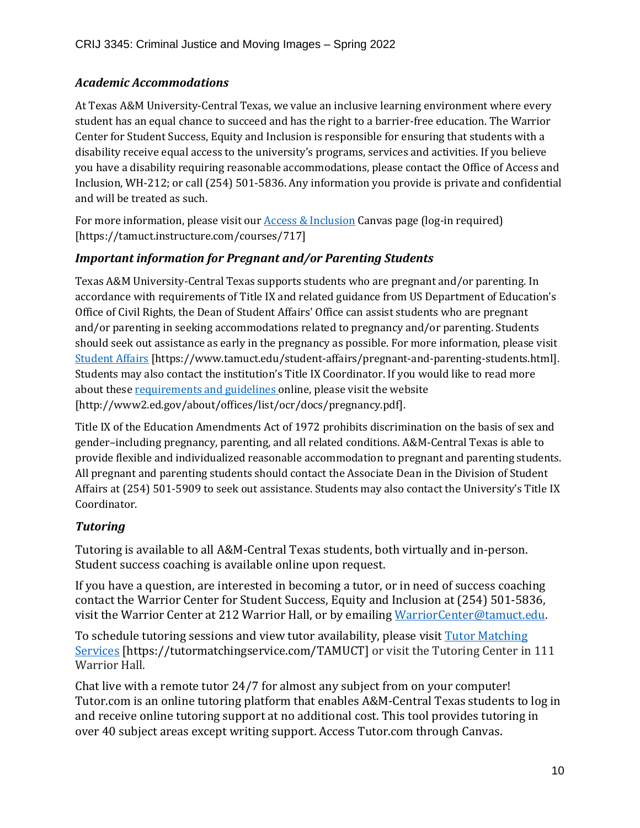#### *Academic Accommodations*

At Texas A&M University-Central Texas, we value an inclusive learning environment where every student has an equal chance to succeed and has the right to a barrier-free education. The Warrior Center for Student Success, Equity and Inclusion is responsible for ensuring that students with a disability receive equal access to the university's programs, services and activities. If you believe you have a disability requiring reasonable accommodations, please contact the Office of Access and Inclusion, WH-212; or call (254) 501-5836. Any information you provide is private and confidential and will be treated as such.

For more information, please visit our **Access & Inclusion** Canvas page (log-in required) [https://tamuct.instructure.com/courses/717]

#### *Important information for Pregnant and/or Parenting Students*

Texas A&M University-Central Texas supports students who are pregnant and/or parenting. In accordance with requirements of Title IX and related guidance from US Department of Education's Office of Civil Rights, the Dean of Student Affairs' Office can assist students who are pregnant and/or parenting in seeking accommodations related to pregnancy and/or parenting. Students should seek out assistance as early in the pregnancy as possible. For more information, please visit [Student Affairs](https://www.tamuct.edu/student-affairs/pregnant-and-parenting-students.html) [https://www.tamuct.edu/student-affairs/pregnant-and-parenting-students.html]. Students may also contact the institution's Title IX Coordinator. If you would like to read more about these [requirements and guidelines](http://www2.ed.gov/about/offices/list/ocr/docs/pregnancy.pdf) online, please visit the website [http://www2.ed.gov/about/offices/list/ocr/docs/pregnancy.pdf].

Title IX of the Education Amendments Act of 1972 prohibits discrimination on the basis of sex and gender–including pregnancy, parenting, and all related conditions. A&M-Central Texas is able to provide flexible and individualized reasonable accommodation to pregnant and parenting students. All pregnant and parenting students should contact the Associate Dean in the Division of Student Affairs at (254) 501-5909 to seek out assistance. Students may also contact the University's Title IX Coordinator.

#### *Tutoring*

Tutoring is available to all A&M-Central Texas students, both virtually and in-person. Student success coaching is available online upon request.

If you have a question, are interested in becoming a tutor, or in need of success coaching contact the Warrior Center for Student Success, Equity and Inclusion at (254) 501-5836, visit the Warrior Center at 212 Warrior Hall, or by emailing [WarriorCenter@tamuct.edu.](mailto:WarriorCenter@tamuct.edu)

To schedule tutoring sessions and view tutor availability, please visit Tutor [Matching](https://tutormatchingservice.com/TAMUCT) [Services](https://tutormatchingservice.com/TAMUCT) [https://tutormatchingservice.com/TAMUCT] or visit the Tutoring Center in 111 Warrior Hall.

Chat live with a remote tutor 24/7 for almost any subject from on your computer! Tutor.com is an online tutoring platform that enables A&M-Central Texas students to log in and receive online tutoring support at no additional cost. This tool provides tutoring in over 40 subject areas except writing support. Access Tutor.com through Canvas.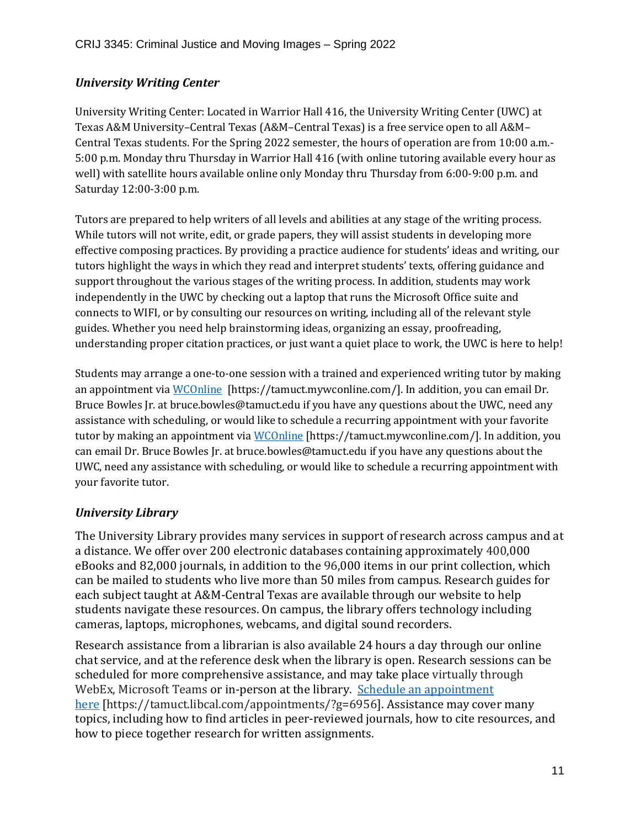#### *University Writing Center*

University Writing Center: Located in Warrior Hall 416, the University Writing Center (UWC) at Texas A&M University–Central Texas (A&M–Central Texas) is a free service open to all A&M– Central Texas students. For the Spring 2022 semester, the hours of operation are from 10:00 a.m.- 5:00 p.m. Monday thru Thursday in Warrior Hall 416 (with online tutoring available every hour as well) with satellite hours available online only Monday thru Thursday from 6:00-9:00 p.m. and Saturday 12:00-3:00 p.m.

Tutors are prepared to help writers of all levels and abilities at any stage of the writing process. While tutors will not write, edit, or grade papers, they will assist students in developing more effective composing practices. By providing a practice audience for students' ideas and writing, our tutors highlight the ways in which they read and interpret students' texts, offering guidance and support throughout the various stages of the writing process. In addition, students may work independently in the UWC by checking out a laptop that runs the Microsoft Office suite and connects to WIFI, or by consulting our resources on writing, including all of the relevant style guides. Whether you need help brainstorming ideas, organizing an essay, proofreading, understanding proper citation practices, or just want a quiet place to work, the UWC is here to help!

Students may arrange a one-to-one session with a trained and experienced writing tutor by making an appointment vi[a WCOnline](https://tamuct.mywconline.com/) [https://tamuct.mywconline.com/]. In addition, you can email Dr. Bruce Bowles Jr. at bruce.bowles@tamuct.edu if you have any questions about the UWC, need any assistance with scheduling, or would like to schedule a recurring appointment with your favorite tutor by making an appointment via [WCOnline](https://tamuct.mywconline.com/) [https://tamuct.mywconline.com/]. In addition, you can email Dr. Bruce Bowles Jr. at bruce.bowles@tamuct.edu if you have any questions about the UWC, need any assistance with scheduling, or would like to schedule a recurring appointment with your favorite tutor.

#### *University Library*

The University Library provides many services in support of research across campus and at a distance. We offer over 200 electronic databases containing approximately 400,000 eBooks and 82,000 journals, in addition to the 96,000 items in our print collection, which can be mailed to students who live more than 50 miles from campus. Research guides for each subject taught at A&M-Central Texas are available through our website to help students navigate these resources. On campus, the library offers technology including cameras, laptops, microphones, webcams, and digital sound recorders.

Research assistance from a librarian is also available 24 hours a day through our online chat service, and at the reference desk when the library is open. Research sessions can be scheduled for more comprehensive assistance, and may take place virtually through WebEx, Microsoft Teams or in-person at the library. Schedule an [appointment](https://nam04.safelinks.protection.outlook.com/?url=https%3A%2F%2Ftamuct.libcal.com%2Fappointments%2F%3Fg%3D6956&data=04%7C01%7Clisa.bunkowski%40tamuct.edu%7Cde2c07d9f5804f09518008d9ab7ba6ff%7C9eed4e3000f744849ff193ad8005acec%7C0%7C0%7C637729369835011558%7CUnknown%7CTWFpbGZsb3d8eyJWIjoiMC4wLjAwMDAiLCJQIjoiV2luMzIiLCJBTiI6Ik1haWwiLCJXVCI6Mn0%3D%7C3000&sdata=KhtjgRSAw9aq%2FoBsB6wyu8b7PSuGN5EGPypzr3Ty2No%3D&reserved=0) [here](https://nam04.safelinks.protection.outlook.com/?url=https%3A%2F%2Ftamuct.libcal.com%2Fappointments%2F%3Fg%3D6956&data=04%7C01%7Clisa.bunkowski%40tamuct.edu%7Cde2c07d9f5804f09518008d9ab7ba6ff%7C9eed4e3000f744849ff193ad8005acec%7C0%7C0%7C637729369835011558%7CUnknown%7CTWFpbGZsb3d8eyJWIjoiMC4wLjAwMDAiLCJQIjoiV2luMzIiLCJBTiI6Ik1haWwiLCJXVCI6Mn0%3D%7C3000&sdata=KhtjgRSAw9aq%2FoBsB6wyu8b7PSuGN5EGPypzr3Ty2No%3D&reserved=0) [https://tamuct.libcal.com/appointments/?g=6956]. Assistance may cover many topics, including how to find articles in peer-reviewed journals, how to cite resources, and how to piece together research for written assignments.